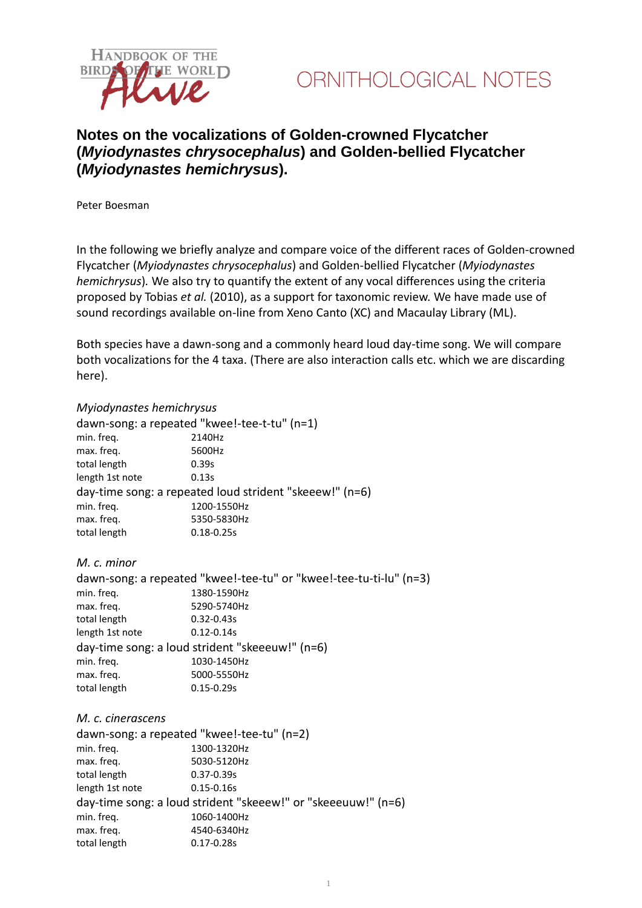



# **Notes on the vocalizations of Golden-crowned Flycatcher (***Myiodynastes chrysocephalus***) and Golden-bellied Flycatcher (***Myiodynastes hemichrysus***).**

Peter Boesman

In the following we briefly analyze and compare voice of the different races of Golden-crowned Flycatcher (*Myiodynastes chrysocephalus*) and Golden-bellied Flycatcher (*Myiodynastes hemichrysus*)*.* We also try to quantify the extent of any vocal differences using the criteria proposed by Tobias *et al.* (2010), as a support for taxonomic review. We have made use of sound recordings available on-line from Xeno Canto (XC) and Macaulay Library (ML).

Both species have a dawn-song and a commonly heard loud day-time song. We will compare both vocalizations for the 4 taxa. (There are also interaction calls etc. which we are discarding here).

## *Myiodynastes hemichrysus*

dawn-song: a repeated "kwee!-tee-t-tu" (n=1) min. freq. 2140Hz max. freq. 5600Hz total length 0.39s length 1st note 0.13s day-time song: a repeated loud strident "skeeew!" (n=6) min. freq. 1200-1550Hz max. freq. 5350-5830Hz total length 0.18-0.25s

## *M. c. minor*

| dawn-song: a repeated "kwee!-tee-tu" or "kwee!-tee-tu-ti-lu" (n=3) |                |
|--------------------------------------------------------------------|----------------|
| min. freq.                                                         | 1380-1590Hz    |
| max. freq.                                                         | 5290-5740Hz    |
| total length                                                       | $0.32 - 0.43s$ |
| length 1st note                                                    | $0.12 - 0.14s$ |
| day-time song: a loud strident "skeeeuw!" (n=6)                    |                |
| min. freq.                                                         | 1030-1450Hz    |
| max. freq.                                                         | 5000-5550Hz    |
| total length                                                       | $0.15 - 0.29s$ |
|                                                                    |                |

#### *M. c. cinerascens*

| dawn-song: a repeated "kwee!-tee-tu" (n=2)                    |                |
|---------------------------------------------------------------|----------------|
| min. freq.                                                    | 1300-1320Hz    |
| max. freq.                                                    | 5030-5120Hz    |
| total length                                                  | $0.37 - 0.39s$ |
| length 1st note                                               | $0.15 - 0.16s$ |
| day-time song: a loud strident "skeeew!" or "skeeeuuw!" (n=6) |                |
| min. freq.                                                    | 1060-1400Hz    |
| max. freq.                                                    | 4540-6340Hz    |
| total length                                                  | $0.17 - 0.28s$ |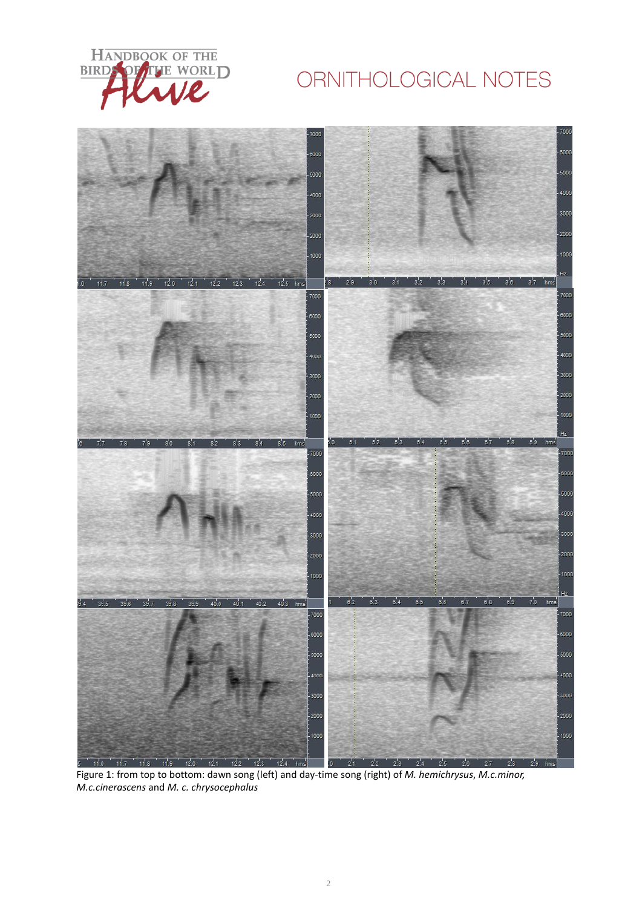

# ORNITHOLOGICAL NOTES



Figure 1: from top to bottom: dawn song (left) and day-time song (right) of *M. hemichrysus*, *M.c.minor, M.c.cinerascens* and *M. c. chrysocephalus*